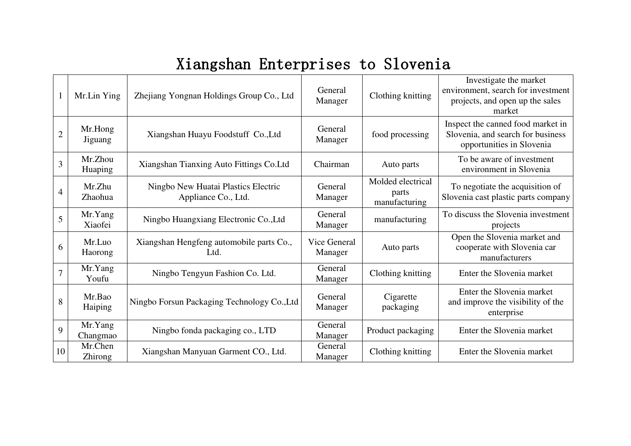## Xiangshan Enterprises to Slovenia

|                | Mr.Lin Ying         | Zhejiang Yongnan Holdings Group Co., Ltd                   | General<br>Manager      | Clothing knitting                           | Investigate the market<br>environment, search for investment<br>projects, and open up the sales<br>market |
|----------------|---------------------|------------------------------------------------------------|-------------------------|---------------------------------------------|-----------------------------------------------------------------------------------------------------------|
| $\overline{2}$ | Mr.Hong<br>Jiguang  | Xiangshan Huayu Foodstuff Co., Ltd                         | General<br>Manager      | food processing                             | Inspect the canned food market in<br>Slovenia, and search for business<br>opportunities in Slovenia       |
| 3              | Mr.Zhou<br>Huaping  | Xiangshan Tianxing Auto Fittings Co.Ltd                    | Chairman                | Auto parts                                  | To be aware of investment<br>environment in Slovenia                                                      |
| 4              | Mr.Zhu<br>Zhaohua   | Ningbo New Huatai Plastics Electric<br>Appliance Co., Ltd. | General<br>Manager      | Molded electrical<br>parts<br>manufacturing | To negotiate the acquisition of<br>Slovenia cast plastic parts company                                    |
| 5              | Mr.Yang<br>Xiaofei  | Ningbo Huangxiang Electronic Co., Ltd                      | General<br>Manager      | manufacturing                               | To discuss the Slovenia investment<br>projects                                                            |
| 6              | Mr.Luo<br>Haorong   | Xiangshan Hengfeng automobile parts Co.,<br>Ltd.           | Vice General<br>Manager | Auto parts                                  | Open the Slovenia market and<br>cooperate with Slovenia car<br>manufacturers                              |
| 7              | Mr.Yang<br>Youfu    | Ningbo Tengyun Fashion Co. Ltd.                            | General<br>Manager      | Clothing knitting                           | Enter the Slovenia market                                                                                 |
| 8              | Mr.Bao<br>Haiping   | Ningbo Forsun Packaging Technology Co., Ltd                | General<br>Manager      | Cigarette<br>packaging                      | Enter the Slovenia market<br>and improve the visibility of the<br>enterprise                              |
| 9              | Mr.Yang<br>Changmao | Ningbo fonda packaging co., LTD                            | General<br>Manager      | Product packaging                           | Enter the Slovenia market                                                                                 |
| 10             | Mr.Chen<br>Zhirong  | Xiangshan Manyuan Garment CO., Ltd.                        | General<br>Manager      | Clothing knitting                           | Enter the Slovenia market                                                                                 |